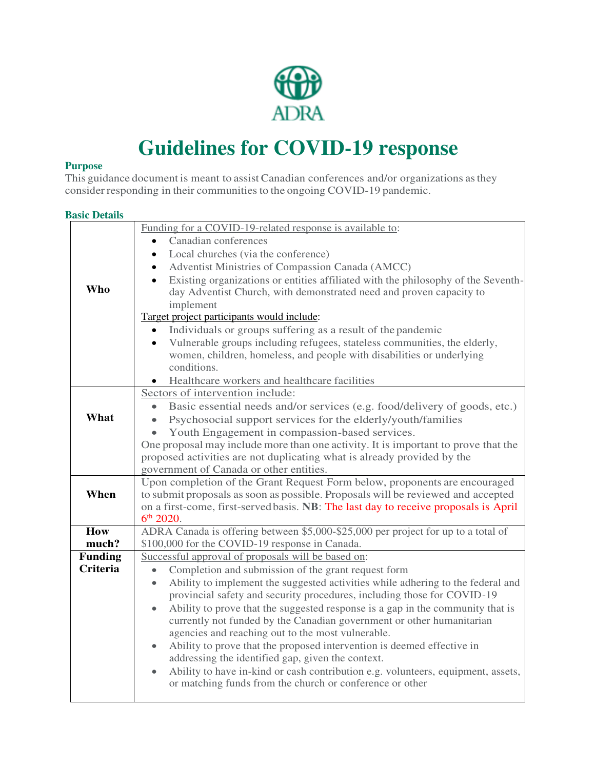

## **Guidelines for COVID-19 response**

### **Purpose**

This guidance document is meant to assist Canadian conferences and/or organizations as they consider responding in their communities to the ongoing COVID-19 pandemic.

#### **Basic Details**

|                                   | Funding for a COVID-19-related response is available to:                                                                                                                |  |  |  |  |
|-----------------------------------|-------------------------------------------------------------------------------------------------------------------------------------------------------------------------|--|--|--|--|
|                                   | Canadian conferences                                                                                                                                                    |  |  |  |  |
|                                   | Local churches (via the conference)<br>$\bullet$                                                                                                                        |  |  |  |  |
|                                   | Adventist Ministries of Compassion Canada (AMCC)<br>$\bullet$                                                                                                           |  |  |  |  |
|                                   | Existing organizations or entities affiliated with the philosophy of the Seventh-                                                                                       |  |  |  |  |
| Who                               | day Adventist Church, with demonstrated need and proven capacity to                                                                                                     |  |  |  |  |
|                                   | implement                                                                                                                                                               |  |  |  |  |
|                                   | Target project participants would include:                                                                                                                              |  |  |  |  |
|                                   | Individuals or groups suffering as a result of the pandemic                                                                                                             |  |  |  |  |
|                                   | Vulnerable groups including refugees, stateless communities, the elderly,<br>$\bullet$                                                                                  |  |  |  |  |
|                                   | women, children, homeless, and people with disabilities or underlying                                                                                                   |  |  |  |  |
|                                   | conditions.                                                                                                                                                             |  |  |  |  |
|                                   | Healthcare workers and healthcare facilities                                                                                                                            |  |  |  |  |
|                                   | Sectors of intervention include:                                                                                                                                        |  |  |  |  |
|                                   | Basic essential needs and/or services (e.g. food/delivery of goods, etc.)                                                                                               |  |  |  |  |
| What                              | Psychosocial support services for the elderly/youth/families<br>$\bullet$                                                                                               |  |  |  |  |
|                                   | Youth Engagement in compassion-based services.                                                                                                                          |  |  |  |  |
|                                   | One proposal may include more than one activity. It is important to prove that the                                                                                      |  |  |  |  |
|                                   | proposed activities are not duplicating what is already provided by the                                                                                                 |  |  |  |  |
|                                   | government of Canada or other entities.                                                                                                                                 |  |  |  |  |
|                                   | Upon completion of the Grant Request Form below, proponents are encouraged                                                                                              |  |  |  |  |
| When                              | to submit proposals as soon as possible. Proposals will be reviewed and accepted                                                                                        |  |  |  |  |
|                                   | on a first-come, first-served basis. NB: The last day to receive proposals is April                                                                                     |  |  |  |  |
|                                   | 6 <sup>th</sup> 2020.                                                                                                                                                   |  |  |  |  |
| How                               | ADRA Canada is offering between \$5,000-\$25,000 per project for up to a total of                                                                                       |  |  |  |  |
| much?                             | \$100,000 for the COVID-19 response in Canada.                                                                                                                          |  |  |  |  |
| <b>Funding</b><br><b>Criteria</b> | Successful approval of proposals will be based on:                                                                                                                      |  |  |  |  |
|                                   | Completion and submission of the grant request form<br>$\bullet$                                                                                                        |  |  |  |  |
|                                   | Ability to implement the suggested activities while adhering to the federal and<br>$\bullet$<br>provincial safety and security procedures, including those for COVID-19 |  |  |  |  |
|                                   |                                                                                                                                                                         |  |  |  |  |
|                                   | Ability to prove that the suggested response is a gap in the community that is<br>$\bullet$<br>currently not funded by the Canadian government or other humanitarian    |  |  |  |  |
|                                   | agencies and reaching out to the most vulnerable.                                                                                                                       |  |  |  |  |
|                                   | Ability to prove that the proposed intervention is deemed effective in<br>۰                                                                                             |  |  |  |  |
|                                   | addressing the identified gap, given the context.                                                                                                                       |  |  |  |  |
|                                   | Ability to have in-kind or cash contribution e.g. volunteers, equipment, assets,<br>$\bullet$                                                                           |  |  |  |  |
|                                   | or matching funds from the church or conference or other                                                                                                                |  |  |  |  |
|                                   |                                                                                                                                                                         |  |  |  |  |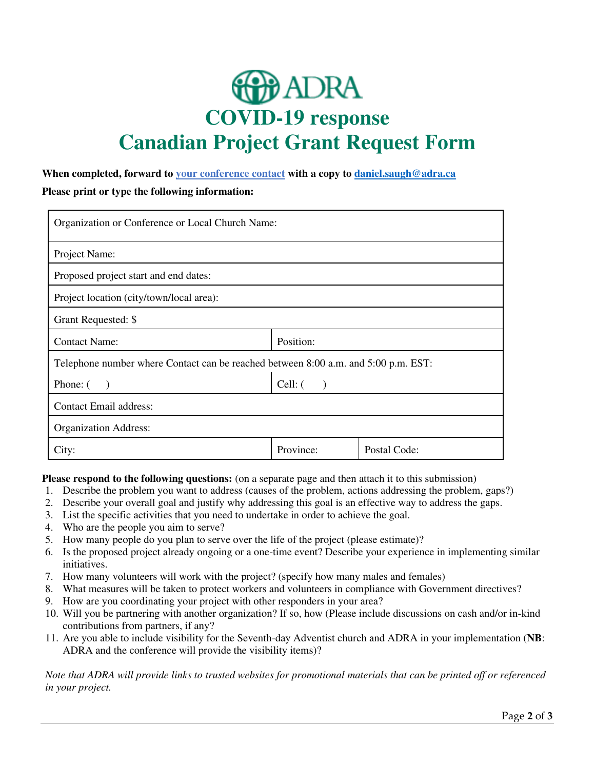# **D**ADRA **COVID-19 response Canadian Project Grant Request Form**

### **When completed, forward to your conference contact with a copy to [daniel.saugh@adra.ca](mailto:daniel.saugh@adra.ca)**

**Please print or type the following information:**

| Organization or Conference or Local Church Name:                                   |           |              |  |  |
|------------------------------------------------------------------------------------|-----------|--------------|--|--|
| Project Name:                                                                      |           |              |  |  |
| Proposed project start and end dates:                                              |           |              |  |  |
| Project location (city/town/local area):                                           |           |              |  |  |
| Grant Requested: \$                                                                |           |              |  |  |
| <b>Contact Name:</b>                                                               | Position: |              |  |  |
| Telephone number where Contact can be reached between 8:00 a.m. and 5:00 p.m. EST: |           |              |  |  |
| Phone: (                                                                           | $Cell:$ ( |              |  |  |
| <b>Contact Email address:</b>                                                      |           |              |  |  |
| <b>Organization Address:</b>                                                       |           |              |  |  |
| City:                                                                              | Province: | Postal Code: |  |  |

**Please respond to the following questions:** (on a separate page and then attach it to this submission)

- 1. Describe the problem you want to address (causes of the problem, actions addressing the problem, gaps?)
- 2. Describe your overall goal and justify why addressing this goal is an effective way to address the gaps.
- 3. List the specific activities that you need to undertake in order to achieve the goal.
- 4. Who are the people you aim to serve?
- 5. How many people do you plan to serve over the life of the project (please estimate)?
- 6. Is the proposed project already ongoing or a one-time event? Describe your experience in implementing similar initiatives.
- 7. How many volunteers will work with the project? (specify how many males and females)
- 8. What measures will be taken to protect workers and volunteers in compliance with Government directives?
- 9. How are you coordinating your project with other responders in your area?
- 10. Will you be partnering with another organization? If so, how (Please include discussions on cash and/or in-kind contributions from partners, if any?
- 11. Are you able to include visibility for the Seventh-day Adventist church and ADRA in your implementation (**NB**: ADRA and the conference will provide the visibility items)?

*Note that ADRA will provide links to trusted websites for promotional materials that can be printed off or referenced in your project.*